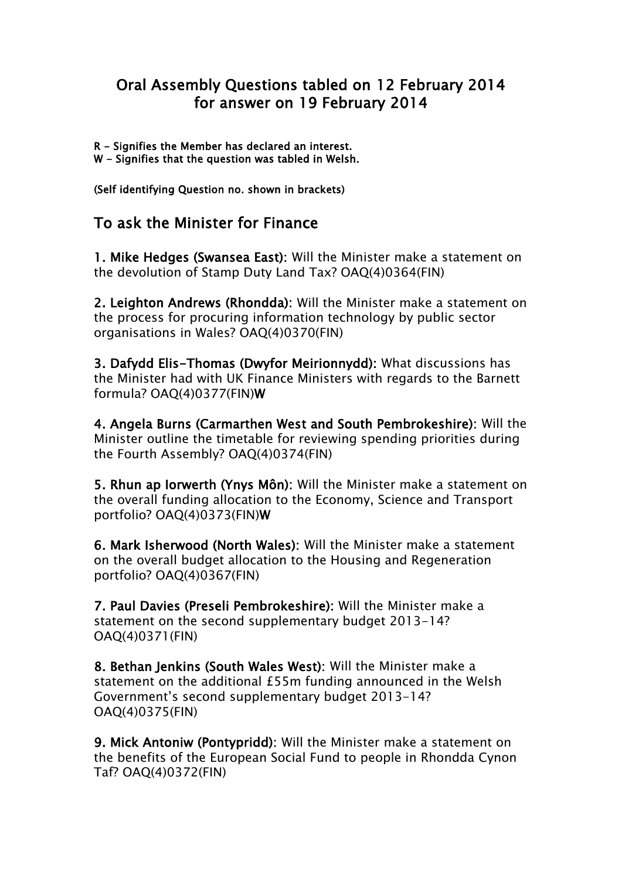## Oral Assembly Questions tabled on 12 February 2014 for answer on 19 February 2014

R - Signifies the Member has declared an interest.

W - Signifies that the question was tabled in Welsh.

(Self identifying Question no. shown in brackets)

## To ask the Minister for Finance

1. Mike Hedges (Swansea East): Will the Minister make a statement on the devolution of Stamp Duty Land Tax? OAQ(4)0364(FIN)

2. Leighton Andrews (Rhondda): Will the Minister make a statement on the process for procuring information technology by public sector organisations in Wales? OAQ(4)0370(FIN)

3. Dafydd Elis-Thomas (Dwyfor Meirionnydd): What discussions has the Minister had with UK Finance Ministers with regards to the Barnett formula? OAQ(4)0377(FIN)W

4. Angela Burns (Carmarthen West and South Pembrokeshire): Will the Minister outline the timetable for reviewing spending priorities during the Fourth Assembly? OAQ(4)0374(FIN)

5. Rhun ap Iorwerth (Ynys Môn): Will the Minister make a statement on the overall funding allocation to the Economy, Science and Transport portfolio? OAQ(4)0373(FIN)W

6. Mark Isherwood (North Wales): Will the Minister make a statement on the overall budget allocation to the Housing and Regeneration portfolio? OAQ(4)0367(FIN)

7. Paul Davies (Preseli Pembrokeshire): Will the Minister make a statement on the second supplementary budget 2013-14? OAQ(4)0371(FIN)

8. Bethan Jenkins (South Wales West): Will the Minister make a statement on the additional £55m funding announced in the Welsh Government's second supplementary budget 2013-14? OAQ(4)0375(FIN)

9. Mick Antoniw (Pontypridd): Will the Minister make a statement on the benefits of the European Social Fund to people in Rhondda Cynon Taf? OAQ(4)0372(FIN)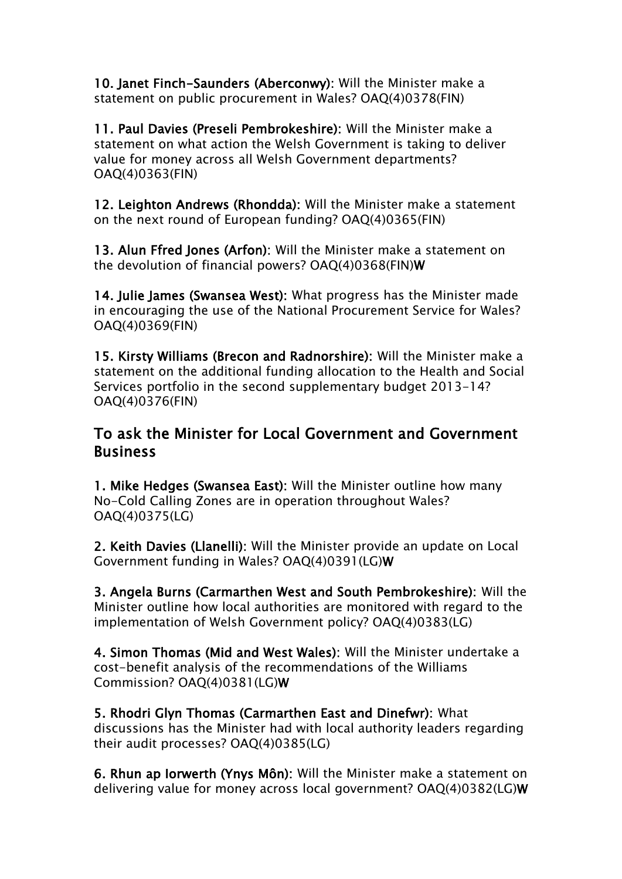10. Janet Finch-Saunders (Aberconwy): Will the Minister make a statement on public procurement in Wales? OAQ(4)0378(FIN)

11. Paul Davies (Preseli Pembrokeshire): Will the Minister make a statement on what action the Welsh Government is taking to deliver value for money across all Welsh Government departments? OAQ(4)0363(FIN)

12. Leighton Andrews (Rhondda): Will the Minister make a statement on the next round of European funding? OAQ(4)0365(FIN)

13. Alun Ffred Jones (Arfon): Will the Minister make a statement on the devolution of financial powers? OAQ(4)0368(FIN)W

14. Julie James (Swansea West): What progress has the Minister made in encouraging the use of the National Procurement Service for Wales? OAQ(4)0369(FIN)

15. Kirsty Williams (Brecon and Radnorshire): Will the Minister make a statement on the additional funding allocation to the Health and Social Services portfolio in the second supplementary budget 2013-14? OAQ(4)0376(FIN)

## To ask the Minister for Local Government and Government **Business**

1. Mike Hedges (Swansea East): Will the Minister outline how many No-Cold Calling Zones are in operation throughout Wales? OAQ(4)0375(LG)

2. Keith Davies (Llanelli): Will the Minister provide an update on Local Government funding in Wales? OAQ(4)0391(LG)W

3. Angela Burns (Carmarthen West and South Pembrokeshire): Will the Minister outline how local authorities are monitored with regard to the implementation of Welsh Government policy? OAQ(4)0383(LG)

4. Simon Thomas (Mid and West Wales): Will the Minister undertake a cost-benefit analysis of the recommendations of the Williams Commission? OAQ(4)0381(LG)W

5. Rhodri Glyn Thomas (Carmarthen East and Dinefwr): What discussions has the Minister had with local authority leaders regarding their audit processes? OAQ(4)0385(LG)

6. Rhun ap Iorwerth (Ynys Môn): Will the Minister make a statement on delivering value for money across local government? OAQ(4)0382(LG)W